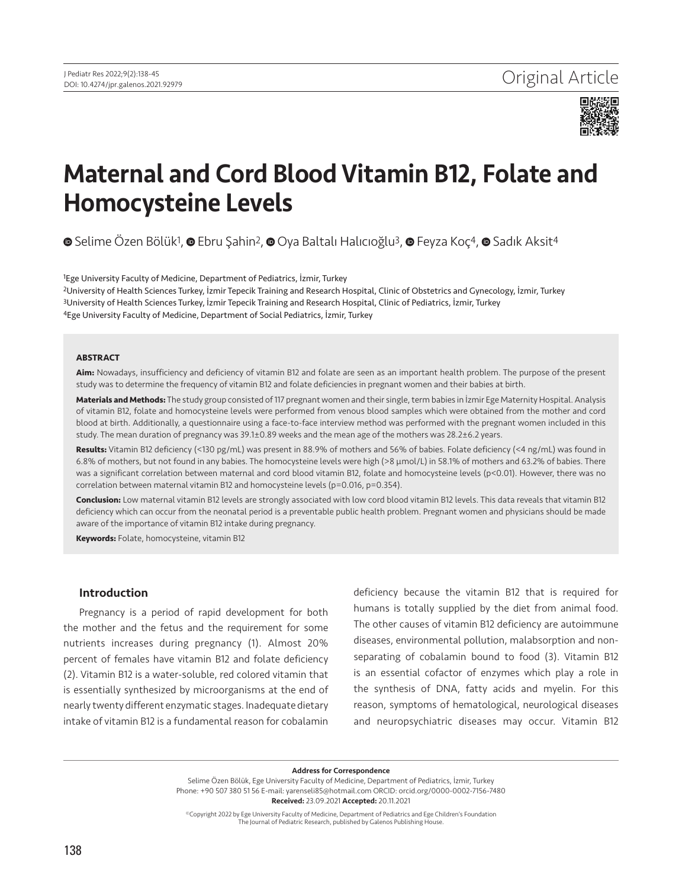

# Maternal and Cord Blood Vitamin B12, Folate and Homocysteine Levels

**©**Selime Özen Bölük<sup>1</sup>, **©** Ebru Şahin<sup>2</sup>, **©** Oya Baltalı Halıcıoğlu<sup>3</sup>, **©** Feyza Koç<sup>4</sup>, © Sadık Aksit<sup>4</sup>

Ege University Faculty of Medicine, Department of Pediatrics, İzmir, Turkey University of Health Sciences Turkey, İzmir Tepecik Training and Research Hospital, Clinic of Obstetrics and Gynecology, İzmir, Turkey University of Health Sciences Turkey, İzmir Tepecik Training and Research Hospital, Clinic of Pediatrics, İzmir, Turkey Ege University Faculty of Medicine, Department of Social Pediatrics, İzmir, Turkey

#### **ABSTRACT**

**Aim:** Nowadays, insufficiency and deficiency of vitamin B12 and folate are seen as an important health problem. The purpose of the present study was to determine the frequency of vitamin B12 and folate deficiencies in pregnant women and their babies at birth.

**Materials and Methods:** The study group consisted of 117 pregnant women and their single, term babies in İzmir Ege Maternity Hospital. Analysis of vitamin B12, folate and homocysteine levels were performed from venous blood samples which were obtained from the mother and cord blood at birth. Additionally, a questionnaire using a face-to-face interview method was performed with the pregnant women included in this study. The mean duration of pregnancy was 39.1±0.89 weeks and the mean age of the mothers was 28.2±6.2 years.

**Results:** Vitamin B12 deficiency (<130 pg/mL) was present in 88.9% of mothers and 56% of babies. Folate deficiency (<4 ng/mL) was found in 6.8% of mothers, but not found in any babies. The homocysteine levels were high (>8 µmol/L) in 58.1% of mothers and 63.2% of babies. There was a significant correlation between maternal and cord blood vitamin B12, folate and homocysteine levels (p<0.01). However, there was no correlation between maternal vitamin B12 and homocysteine levels (p=0.016, p=0.354).

**Conclusion:** Low maternal vitamin B12 levels are strongly associated with low cord blood vitamin B12 levels. This data reveals that vitamin B12 deficiency which can occur from the neonatal period is a preventable public health problem. Pregnant women and physicians should be made aware of the importance of vitamin B12 intake during pregnancy.

**Keywords:** Folate, homocysteine, vitamin B12

# Introduction

Pregnancy is a period of rapid development for both the mother and the fetus and the requirement for some nutrients increases during pregnancy (1). Almost 20% percent of females have vitamin B12 and folate deficiency (2). Vitamin B12 is a water-soluble, red colored vitamin that is essentially synthesized by microorganisms at the end of nearly twenty different enzymatic stages. Inadequate dietary intake of vitamin B12 is a fundamental reason for cobalamin

deficiency because the vitamin B12 that is required for humans is totally supplied by the diet from animal food. The other causes of vitamin B12 deficiency are autoimmune diseases, environmental pollution, malabsorption and nonseparating of cobalamin bound to food (3). Vitamin B12 is an essential cofactor of enzymes which play a role in the synthesis of DNA, fatty acids and myelin. For this reason, symptoms of hematological, neurological diseases and neuropsychiatric diseases may occur. Vitamin B12

Address for Correspondence

Selime Özen Bölük, Ege University Faculty of Medicine, Department of Pediatrics, İzmir, Turkey Phone: +90 507 380 51 56 E-mail: yarenseli85@hotmail.com ORCID: orcid.org/0000-0002-7156-7480 Received: 23.09.2021 Accepted: 20.11.2021

©Copyright 2022 by Ege University Faculty of Medicine, Department of Pediatrics and Ege Children's Foundation The Journal of Pediatric Research, published by Galenos Publishing House.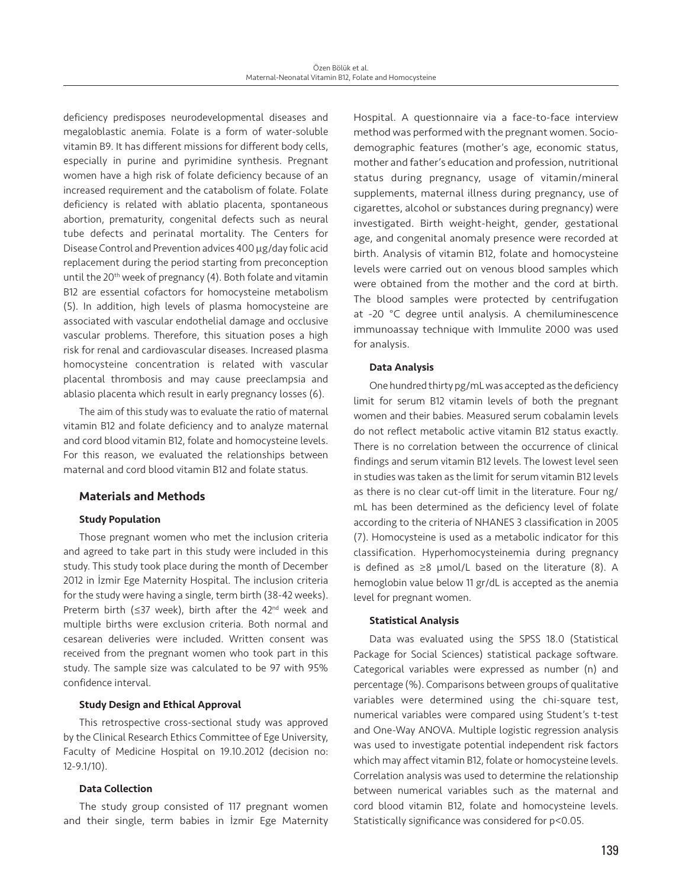deficiency predisposes neurodevelopmental diseases and megaloblastic anemia. Folate is a form of water-soluble vitamin B9. It has different missions for different body cells, especially in purine and pyrimidine synthesis. Pregnant women have a high risk of folate deficiency because of an increased requirement and the catabolism of folate. Folate deficiency is related with ablatio placenta, spontaneous abortion, prematurity, congenital defects such as neural tube defects and perinatal mortality. The Centers for Disease Control and Prevention advices 400 µg/day folic acid replacement during the period starting from preconception until the 20<sup>th</sup> week of pregnancy (4). Both folate and vitamin B12 are essential cofactors for homocysteine metabolism (5). In addition, high levels of plasma homocysteine are associated with vascular endothelial damage and occlusive vascular problems. Therefore, this situation poses a high risk for renal and cardiovascular diseases. Increased plasma homocysteine concentration is related with vascular placental thrombosis and may cause preeclampsia and ablasio placenta which result in early pregnancy losses (6).

The aim of this study was to evaluate the ratio of maternal vitamin B12 and folate deficiency and to analyze maternal and cord blood vitamin B12, folate and homocysteine levels. For this reason, we evaluated the relationships between maternal and cord blood vitamin B12 and folate status.

# Materials and Methods

# Study Population

Those pregnant women who met the inclusion criteria and agreed to take part in this study were included in this study. This study took place during the month of December 2012 in İzmir Ege Maternity Hospital. The inclusion criteria for the study were having a single, term birth (38-42 weeks). Preterm birth ( $\leq$ 37 week), birth after the 42<sup>nd</sup> week and multiple births were exclusion criteria. Both normal and cesarean deliveries were included. Written consent was received from the pregnant women who took part in this study. The sample size was calculated to be 97 with 95% confidence interval.

#### Study Design and Ethical Approval

This retrospective cross-sectional study was approved by the Clinical Research Ethics Committee of Ege University, Faculty of Medicine Hospital on 19.10.2012 (decision no: 12-9.1/10).

#### Data Collection

The study group consisted of 117 pregnant women and their single, term babies in İzmir Ege Maternity

Hospital. A questionnaire via a face-to-face interview method was performed with the pregnant women. Sociodemographic features (mother's age, economic status, mother and father's education and profession, nutritional status during pregnancy, usage of vitamin/mineral supplements, maternal illness during pregnancy, use of cigarettes, alcohol or substances during pregnancy) were investigated. Birth weight-height, gender, gestational age, and congenital anomaly presence were recorded at birth. Analysis of vitamin B12, folate and homocysteine levels were carried out on venous blood samples which were obtained from the mother and the cord at birth. The blood samples were protected by centrifugation at -20 °C degree until analysis. A chemiluminescence immunoassay technique with Immulite 2000 was used for analysis.

#### Data Analysis

One hundred thirty pg/mL was accepted as the deficiency limit for serum B12 vitamin levels of both the pregnant women and their babies. Measured serum cobalamin levels do not reflect metabolic active vitamin B12 status exactly. There is no correlation between the occurrence of clinical findings and serum vitamin B12 levels. The lowest level seen in studies was taken as the limit for serum vitamin B12 levels as there is no clear cut-off limit in the literature. Four ng/ mL has been determined as the deficiency level of folate according to the criteria of NHANES 3 classification in 2005 (7). Homocysteine is used as a metabolic indicator for this classification. Hyperhomocysteinemia during pregnancy is defined as  $\geq 8$  µmol/L based on the literature (8). A hemoglobin value below 11 gr/dL is accepted as the anemia level for pregnant women.

#### Statistical Analysis

Data was evaluated using the SPSS 18.0 (Statistical Package for Social Sciences) statistical package software. Categorical variables were expressed as number (n) and percentage (%). Comparisons between groups of qualitative variables were determined using the chi-square test, numerical variables were compared using Student's t-test and One-Way ANOVA. Multiple logistic regression analysis was used to investigate potential independent risk factors which may affect vitamin B12, folate or homocysteine levels. Correlation analysis was used to determine the relationship between numerical variables such as the maternal and cord blood vitamin B12, folate and homocysteine levels. Statistically significance was considered for p<0.05.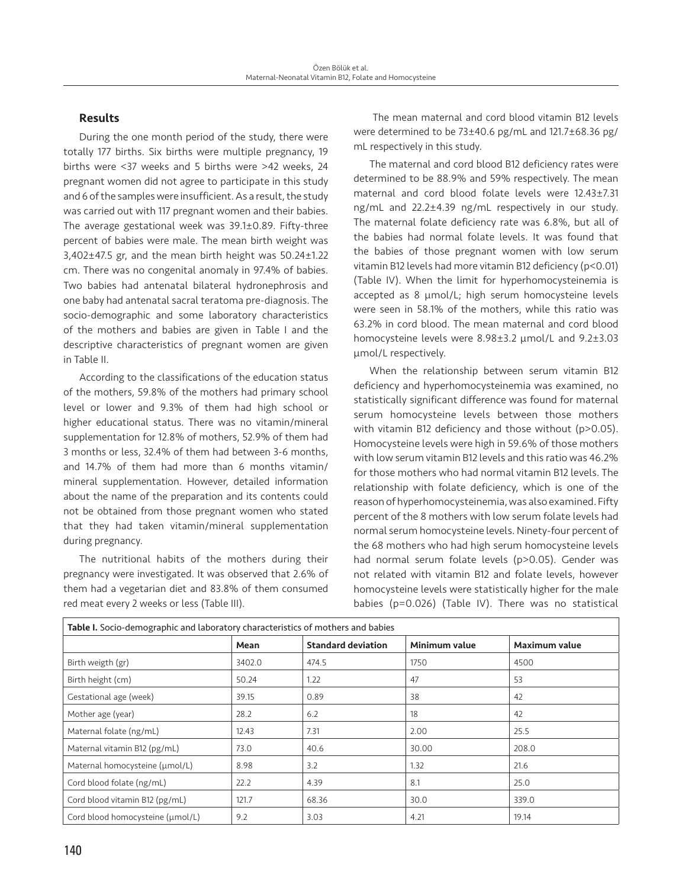# **Results**

During the one month period of the study, there were totally 177 births. Six births were multiple pregnancy, 19 births were <37 weeks and 5 births were >42 weeks, 24 pregnant women did not agree to participate in this study and 6 of the samples were insufficient. As a result, the study was carried out with 117 pregnant women and their babies. The average gestational week was 39.1±0.89. Fifty-three percent of babies were male. The mean birth weight was 3,402±47.5 gr, and the mean birth height was 50.24±1.22 cm. There was no congenital anomaly in 97.4% of babies. Two babies had antenatal bilateral hydronephrosis and one baby had antenatal sacral teratoma pre-diagnosis. The socio-demographic and some laboratory characteristics of the mothers and babies are given in Table I and the descriptive characteristics of pregnant women are given in Table II.

According to the classifications of the education status of the mothers, 59.8% of the mothers had primary school level or lower and 9.3% of them had high school or higher educational status. There was no vitamin/mineral supplementation for 12.8% of mothers, 52.9% of them had 3 months or less, 32.4% of them had between 3-6 months, and 14.7% of them had more than 6 months vitamin/ mineral supplementation. However, detailed information about the name of the preparation and its contents could not be obtained from those pregnant women who stated that they had taken vitamin/mineral supplementation during pregnancy.

The nutritional habits of the mothers during their pregnancy were investigated. It was observed that 2.6% of them had a vegetarian diet and 83.8% of them consumed red meat every 2 weeks or less (Table III).

 The mean maternal and cord blood vitamin B12 levels were determined to be 73±40.6 pg/mL and 121.7±68.36 pg/ mL respectively in this study.

The maternal and cord blood B12 deficiency rates were determined to be 88.9% and 59% respectively. The mean maternal and cord blood folate levels were 12.43±7.31 ng/mL and 22.2±4.39 ng/mL respectively in our study. The maternal folate deficiency rate was 6.8%, but all of the babies had normal folate levels. It was found that the babies of those pregnant women with low serum vitamin B12 levels had more vitamin B12 deficiency (p<0.01) (Table IV). When the limit for hyperhomocysteinemia is accepted as 8 µmol/L; high serum homocysteine levels were seen in 58.1% of the mothers, while this ratio was 63.2% in cord blood. The mean maternal and cord blood homocysteine levels were 8.98±3.2 µmol/L and 9.2±3.03 µmol/L respectively.

When the relationship between serum vitamin B12 deficiency and hyperhomocysteinemia was examined, no statistically significant difference was found for maternal serum homocysteine levels between those mothers with vitamin B12 deficiency and those without (p>0.05). Homocysteine levels were high in 59.6% of those mothers with low serum vitamin B12 levels and this ratio was 46.2% for those mothers who had normal vitamin B12 levels. The relationship with folate deficiency, which is one of the reason of hyperhomocysteinemia, was also examined. Fifty percent of the 8 mothers with low serum folate levels had normal serum homocysteine levels. Ninety-four percent of the 68 mothers who had high serum homocysteine levels had normal serum folate levels (p>0.05). Gender was not related with vitamin B12 and folate levels, however homocysteine levels were statistically higher for the male babies (p=0.026) (Table IV). There was no statistical

| Table I. Socio-demographic and laboratory characteristics of mothers and babies |        |                           |               |               |  |  |
|---------------------------------------------------------------------------------|--------|---------------------------|---------------|---------------|--|--|
|                                                                                 | Mean   | <b>Standard deviation</b> | Minimum value | Maximum value |  |  |
| Birth weigth (gr)                                                               | 3402.0 | 474.5                     | 1750          | 4500          |  |  |
| Birth height (cm)                                                               | 50.24  | 1.22                      | 47            | 53            |  |  |
| Gestational age (week)                                                          | 39.15  | 0.89                      | 38            | 42            |  |  |
| Mother age (year)                                                               | 28.2   | 6.2                       | 18            | 42            |  |  |
| Maternal folate (ng/mL)                                                         | 12.43  | 7.31                      | 2.00          | 25.5          |  |  |
| Maternal vitamin B12 (pg/mL)                                                    | 73.0   | 40.6                      | 30.00         | 208.0         |  |  |
| Maternal homocysteine (umol/L)                                                  | 8.98   | 3.2                       | 1.32          | 21.6          |  |  |
| Cord blood folate (ng/mL)                                                       | 22.2   | 4.39                      | 8.1           | 25.0          |  |  |
| Cord blood vitamin B12 (pg/mL)                                                  | 121.7  | 68.36                     | 30.0          | 339.0         |  |  |
| Cord blood homocysteine (umol/L)                                                | 9.2    | 3.03                      | 4.21          | 19.14         |  |  |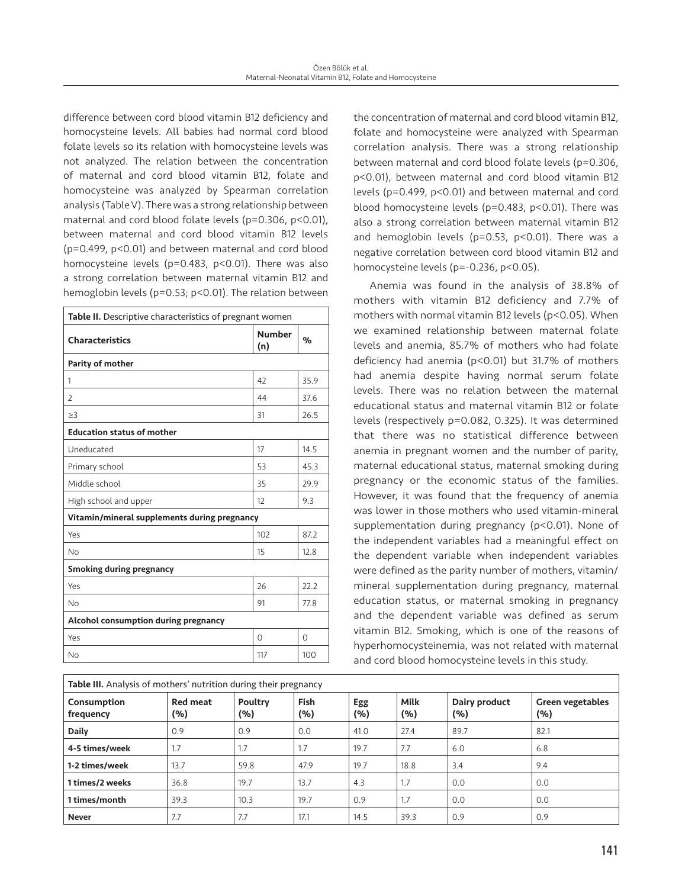difference between cord blood vitamin B12 deficiency and homocysteine levels. All babies had normal cord blood folate levels so its relation with homocysteine levels was not analyzed. The relation between the concentration of maternal and cord blood vitamin B12, folate and homocysteine was analyzed by Spearman correlation analysis (Table V). There was a strong relationship between maternal and cord blood folate levels (p=0.306, p<0.01), between maternal and cord blood vitamin B12 levels (p=0.499, p<0.01) and between maternal and cord blood homocysteine levels (p=0.483, p<0.01). There was also a strong correlation between maternal vitamin B12 and hemoglobin levels (p=0.53; p<0.01). The relation between

| Table II. Descriptive characteristics of pregnant women |                      |          |  |  |  |
|---------------------------------------------------------|----------------------|----------|--|--|--|
| <b>Characteristics</b>                                  | <b>Number</b><br>(n) | $\%$     |  |  |  |
| Parity of mother                                        |                      |          |  |  |  |
| 1                                                       | 42                   | 35.9     |  |  |  |
| $\overline{2}$                                          | 44                   | 37.6     |  |  |  |
| $\geq$ 3                                                | 31                   | 26.5     |  |  |  |
| <b>Education status of mother</b>                       |                      |          |  |  |  |
| Uneducated                                              | 17                   | 14.5     |  |  |  |
| Primary school                                          | 53                   | 45.3     |  |  |  |
| Middle school                                           | 35                   | 29.9     |  |  |  |
| High school and upper                                   | 12                   | 9.3      |  |  |  |
| Vitamin/mineral supplements during pregnancy            |                      |          |  |  |  |
| Yes                                                     | 102                  | 87.2     |  |  |  |
| <b>No</b>                                               | 15                   | 12.8     |  |  |  |
| <b>Smoking during pregnancy</b>                         |                      |          |  |  |  |
| Yes                                                     | 26                   | 22.2     |  |  |  |
| <b>No</b>                                               | 91                   | 77.8     |  |  |  |
| Alcohol consumption during pregnancy                    |                      |          |  |  |  |
| Yes                                                     | $\Omega$             | $\Omega$ |  |  |  |
| <b>No</b>                                               | 117                  | 100      |  |  |  |

**Table III.** Analysis of mothers' nutrition during their pregnancy

the concentration of maternal and cord blood vitamin B12, folate and homocysteine were analyzed with Spearman correlation analysis. There was a strong relationship between maternal and cord blood folate levels (p=0.306, p<0.01), between maternal and cord blood vitamin B12 levels (p=0.499, p<0.01) and between maternal and cord blood homocysteine levels (p=0.483, p<0.01). There was also a strong correlation between maternal vitamin B12 and hemoglobin levels (p=0.53, p<0.01). There was a negative correlation between cord blood vitamin B12 and homocysteine levels (p=-0.236, p<0.05).

Anemia was found in the analysis of 38.8% of mothers with vitamin B12 deficiency and 7.7% of mothers with normal vitamin B12 levels (p<0.05). When we examined relationship between maternal folate levels and anemia, 85.7% of mothers who had folate deficiency had anemia (p<0.01) but 31.7% of mothers had anemia despite having normal serum folate levels. There was no relation between the maternal educational status and maternal vitamin B12 or folate levels (respectively p=0.082, 0.325). It was determined that there was no statistical difference between anemia in pregnant women and the number of parity, maternal educational status, maternal smoking during pregnancy or the economic status of the families. However, it was found that the frequency of anemia was lower in those mothers who used vitamin-mineral supplementation during pregnancy (p<0.01). None of the independent variables had a meaningful effect on the dependent variable when independent variables were defined as the parity number of mothers, vitamin/ mineral supplementation during pregnancy, maternal education status, or maternal smoking in pregnancy and the dependent variable was defined as serum vitamin B12. Smoking, which is one of the reasons of hyperhomocysteinemia, was not related with maternal and cord blood homocysteine levels in this study.

| <b>Table III.</b> Analysis of mothers' nutrition during their pregnancy |                        |                |             |            |             |                      |                                |
|-------------------------------------------------------------------------|------------------------|----------------|-------------|------------|-------------|----------------------|--------------------------------|
| Consumption<br>frequency                                                | <b>Red meat</b><br>(%) | Poultry<br>(%) | Fish<br>(%) | Egg<br>(%) | Milk<br>(%) | Dairy product<br>(%) | <b>Green vegetables</b><br>(%) |
| Daily                                                                   | 0.9                    | 0.9            | 0.0         | 41.0       | 27.4        | 89.7                 | 82.1                           |
| 4-5 times/week                                                          | 1.7                    | 1.7            | 1.7         | 19.7       | 7.7         | 6.0                  | 6.8                            |
| 1-2 times/week                                                          | 13.7                   | 59.8           | 47.9        | 19.7       | 18.8        | 3.4                  | 9.4                            |
| 1 times/2 weeks                                                         | 36.8                   | 19.7           | 13.7        | 4.3        | 1.7         | 0.0                  | 0.0                            |
| 1 times/month                                                           | 39.3                   | 10.3           | 19.7        | 0.9        | 1.7         | 0.0                  | 0.0                            |
| <b>Never</b>                                                            | 7.7                    | 7.7            | 17.1        | 14.5       | 39.3        | 0.9                  | 0.9                            |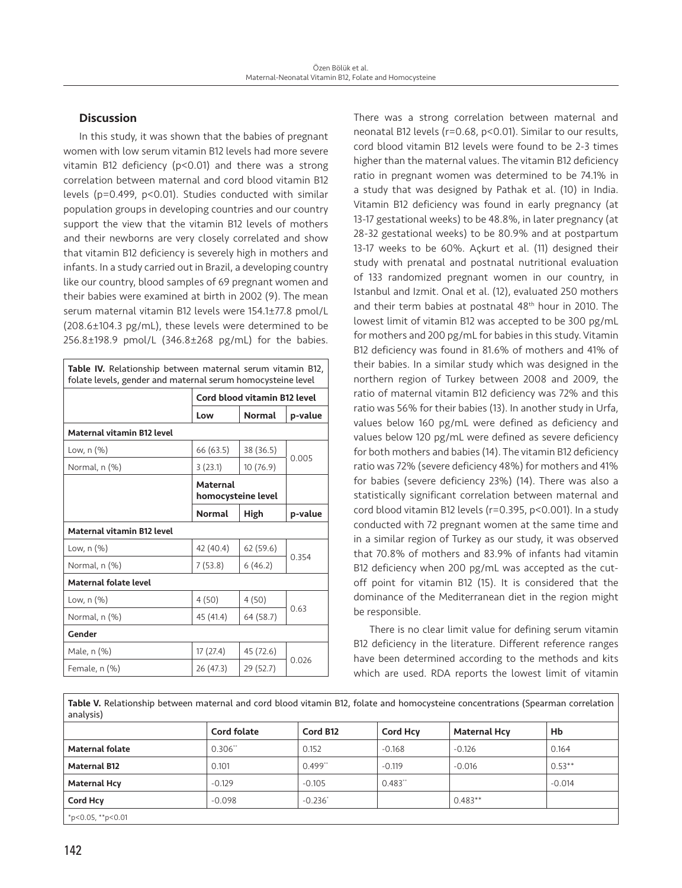# **Discussion**

In this study, it was shown that the babies of pregnant women with low serum vitamin B12 levels had more severe vitamin B12 deficiency (p<0.01) and there was a strong correlation between maternal and cord blood vitamin B12 levels (p=0.499, p<0.01). Studies conducted with similar population groups in developing countries and our country support the view that the vitamin B12 levels of mothers and their newborns are very closely correlated and show that vitamin B12 deficiency is severely high in mothers and infants. In a study carried out in Brazil, a developing country like our country, blood samples of 69 pregnant women and their babies were examined at birth in 2002 (9). The mean serum maternal vitamin B12 levels were 154.1±77.8 pmol/L (208.6±104.3 pg/mL), these levels were determined to be 256.8±198.9 pmol/L (346.8±268 pg/mL) for the babies.

| <b>Table IV.</b> Relationship between maternal serum vitamin B12,<br>folate levels, gender and maternal serum homocysteine level |                                       |               |         |  |  |
|----------------------------------------------------------------------------------------------------------------------------------|---------------------------------------|---------------|---------|--|--|
|                                                                                                                                  | <b>Cord blood vitamin B12 level</b>   |               |         |  |  |
|                                                                                                                                  | Low                                   | <b>Normal</b> | p-value |  |  |
| <b>Maternal vitamin B12 level</b>                                                                                                |                                       |               |         |  |  |
| Low, n (%)                                                                                                                       | 66 (63.5)                             | 38 (36.5)     | 0.005   |  |  |
| Normal, n (%)                                                                                                                    | 3(23.1)                               | 10 (76.9)     |         |  |  |
|                                                                                                                                  | <b>Maternal</b><br>homocysteine level |               |         |  |  |
|                                                                                                                                  | <b>Normal</b>                         | High          | p-value |  |  |
| <b>Maternal vitamin B12 level</b>                                                                                                |                                       |               |         |  |  |
| Low, n (%)                                                                                                                       | 42 (40.4)                             | 62(59.6)      |         |  |  |
| Normal, n (%)                                                                                                                    | 7(53.8)                               | 6(46.2)       | 0.354   |  |  |
| <b>Maternal folate level</b>                                                                                                     |                                       |               |         |  |  |
| Low, n (%)                                                                                                                       | 4(50)                                 | 4(50)         | 0.63    |  |  |
| Normal, n (%)                                                                                                                    | 45 (41.4)                             | 64 (58.7)     |         |  |  |
| Gender                                                                                                                           |                                       |               |         |  |  |
| Male, n (%)                                                                                                                      | 17(27.4)                              | 45 (72.6)     |         |  |  |
| Female, n (%)                                                                                                                    | 26 (47.3)                             | 29 (52.7)     | 0.026   |  |  |

There was a strong correlation between maternal and neonatal B12 levels (r=0.68, p<0.01). Similar to our results, cord blood vitamin B12 levels were found to be 2-3 times higher than the maternal values. The vitamin B12 deficiency ratio in pregnant women was determined to be 74.1% in a study that was designed by Pathak et al. (10) in India. Vitamin B12 deficiency was found in early pregnancy (at 13-17 gestational weeks) to be 48.8%, in later pregnancy (at 28-32 gestational weeks) to be 80.9% and at postpartum 13-17 weeks to be 60%. Açkurt et al. (11) designed their study with prenatal and postnatal nutritional evaluation of 133 randomized pregnant women in our country, in Istanbul and Izmit. Onal et al. (12), evaluated 250 mothers and their term babies at postnatal 48th hour in 2010. The lowest limit of vitamin B12 was accepted to be 300 pg/mL for mothers and 200 pg/mL for babies in this study. Vitamin B12 deficiency was found in 81.6% of mothers and 41% of their babies. In a similar study which was designed in the northern region of Turkey between 2008 and 2009, the ratio of maternal vitamin B12 deficiency was 72% and this ratio was 56% for their babies (13). In another study in Urfa, values below 160 pg/mL were defined as deficiency and values below 120 pg/mL were defined as severe deficiency for both mothers and babies (14). The vitamin B12 deficiency ratio was 72% (severe deficiency 48%) for mothers and 41% for babies (severe deficiency 23%) (14). There was also a statistically significant correlation between maternal and cord blood vitamin B12 levels (r=0.395, p<0.001). In a study conducted with 72 pregnant women at the same time and in a similar region of Turkey as our study, it was observed that 70.8% of mothers and 83.9% of infants had vitamin B12 deficiency when 200 pg/mL was accepted as the cutoff point for vitamin B12 (15). It is considered that the dominance of the Mediterranean diet in the region might be responsible.

There is no clear limit value for defining serum vitamin B12 deficiency in the literature. Different reference ranges have been determined according to the methods and kits which are used. RDA reports the lowest limit of vitamin

Table V. Relationship between maternal and cord blood vitamin B12, folate and homocysteine concentrations (Spearman correlation analysis)

|                        | <b>Cord folate</b> | Cord B12  | <b>Cord Hcv</b> | <b>Maternal Hcy</b> | Hb       |
|------------------------|--------------------|-----------|-----------------|---------------------|----------|
| <b>Maternal folate</b> | 0.306"             | 0.152     | $-0.168$        | $-0.126$            | 0.164    |
| <b>Maternal B12</b>    | 0.101              | 0.499"    | $-0.119$        | $-0.016$            | $0.53**$ |
| <b>Maternal Hcy</b>    | $-0.129$           | $-0.105$  | 0.483"          |                     | $-0.014$ |
| <b>Cord Hcv</b>        | $-0.098$           | $-0.236"$ |                 | $0.483**$           |          |
| $*p<0.05$ , $*p<0.01$  |                    |           |                 |                     |          |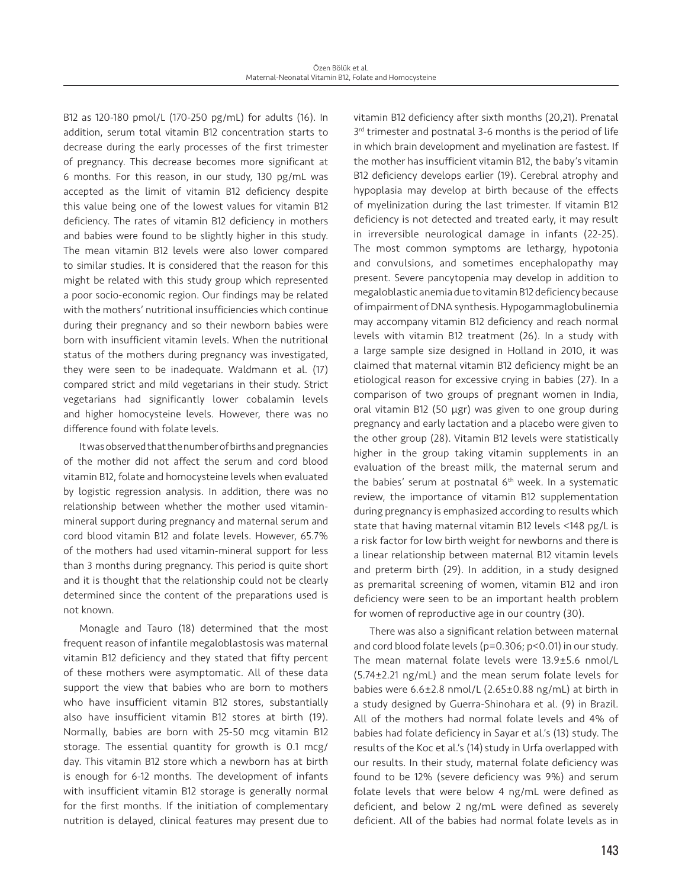B12 as 120-180 pmol/L (170-250 pg/mL) for adults (16). In addition, serum total vitamin B12 concentration starts to decrease during the early processes of the first trimester of pregnancy. This decrease becomes more significant at 6 months. For this reason, in our study, 130 pg/mL was accepted as the limit of vitamin B12 deficiency despite this value being one of the lowest values for vitamin B12 deficiency. The rates of vitamin B12 deficiency in mothers and babies were found to be slightly higher in this study. The mean vitamin B12 levels were also lower compared to similar studies. It is considered that the reason for this might be related with this study group which represented a poor socio-economic region. Our findings may be related with the mothers' nutritional insufficiencies which continue during their pregnancy and so their newborn babies were born with insufficient vitamin levels. When the nutritional status of the mothers during pregnancy was investigated, they were seen to be inadequate. Waldmann et al. (17) compared strict and mild vegetarians in their study. Strict vegetarians had significantly lower cobalamin levels and higher homocysteine levels. However, there was no difference found with folate levels.

It was observed that the number of births and pregnancies of the mother did not affect the serum and cord blood vitamin B12, folate and homocysteine levels when evaluated by logistic regression analysis. In addition, there was no relationship between whether the mother used vitaminmineral support during pregnancy and maternal serum and cord blood vitamin B12 and folate levels. However, 65.7% of the mothers had used vitamin-mineral support for less than 3 months during pregnancy. This period is quite short and it is thought that the relationship could not be clearly determined since the content of the preparations used is not known.

Monagle and Tauro (18) determined that the most frequent reason of infantile megaloblastosis was maternal vitamin B12 deficiency and they stated that fifty percent of these mothers were asymptomatic. All of these data support the view that babies who are born to mothers who have insufficient vitamin B12 stores, substantially also have insufficient vitamin B12 stores at birth (19). Normally, babies are born with 25-50 mcg vitamin B12 storage. The essential quantity for growth is 0.1 mcg/ day. This vitamin B12 store which a newborn has at birth is enough for 6-12 months. The development of infants with insufficient vitamin B12 storage is generally normal for the first months. If the initiation of complementary nutrition is delayed, clinical features may present due to

vitamin B12 deficiency after sixth months (20,21). Prenatal 3<sup>rd</sup> trimester and postnatal 3-6 months is the period of life in which brain development and myelination are fastest. If the mother has insufficient vitamin B12, the baby's vitamin B12 deficiency develops earlier (19). Cerebral atrophy and hypoplasia may develop at birth because of the effects of myelinization during the last trimester. If vitamin B12 deficiency is not detected and treated early, it may result in irreversible neurological damage in infants (22-25). The most common symptoms are lethargy, hypotonia and convulsions, and sometimes encephalopathy may present. Severe pancytopenia may develop in addition to megaloblastic anemia due to vitamin B12 deficiency because of impairment of DNA synthesis. Hypogammaglobulinemia may accompany vitamin B12 deficiency and reach normal levels with vitamin B12 treatment (26). In a study with a large sample size designed in Holland in 2010, it was claimed that maternal vitamin B12 deficiency might be an etiological reason for excessive crying in babies (27). In a comparison of two groups of pregnant women in India, oral vitamin B12 (50 µgr) was given to one group during pregnancy and early lactation and a placebo were given to the other group (28). Vitamin B12 levels were statistically higher in the group taking vitamin supplements in an evaluation of the breast milk, the maternal serum and the babies' serum at postnatal 6<sup>th</sup> week. In a systematic review, the importance of vitamin B12 supplementation during pregnancy is emphasized according to results which state that having maternal vitamin B12 levels <148 pg/L is a risk factor for low birth weight for newborns and there is a linear relationship between maternal B12 vitamin levels and preterm birth (29). In addition, in a study designed as premarital screening of women, vitamin B12 and iron deficiency were seen to be an important health problem for women of reproductive age in our country (30).

There was also a significant relation between maternal and cord blood folate levels (p=0.306; p<0.01) in our study. The mean maternal folate levels were 13.9±5.6 nmol/L (5.74±2.21 ng/mL) and the mean serum folate levels for babies were 6.6±2.8 nmol/L (2.65±0.88 ng/mL) at birth in a study designed by Guerra-Shinohara et al. (9) in Brazil. All of the mothers had normal folate levels and 4% of babies had folate deficiency in Sayar et al.'s (13) study. The results of the Koc et al.'s (14) study in Urfa overlapped with our results. In their study, maternal folate deficiency was found to be 12% (severe deficiency was 9%) and serum folate levels that were below 4 ng/mL were defined as deficient, and below 2 ng/mL were defined as severely deficient. All of the babies had normal folate levels as in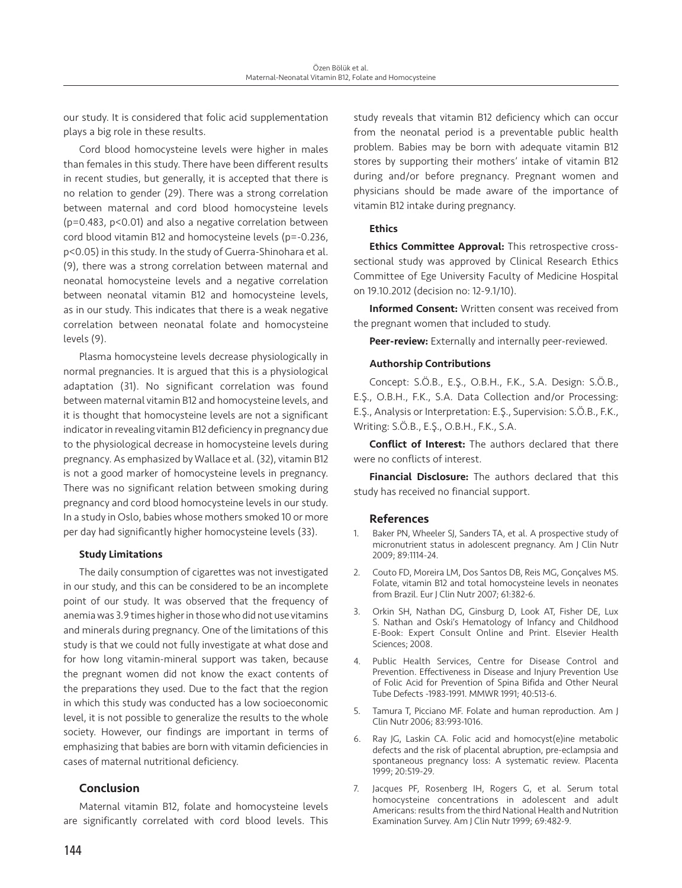our study. It is considered that folic acid supplementation plays a big role in these results.

Cord blood homocysteine levels were higher in males than females in this study. There have been different results in recent studies, but generally, it is accepted that there is no relation to gender (29). There was a strong correlation between maternal and cord blood homocysteine levels (p=0.483, p<0.01) and also a negative correlation between cord blood vitamin B12 and homocysteine levels (p=-0.236, p<0.05) in this study. In the study of Guerra-Shinohara et al. (9), there was a strong correlation between maternal and neonatal homocysteine levels and a negative correlation between neonatal vitamin B12 and homocysteine levels, as in our study. This indicates that there is a weak negative correlation between neonatal folate and homocysteine levels (9).

Plasma homocysteine levels decrease physiologically in normal pregnancies. It is argued that this is a physiological adaptation (31). No significant correlation was found between maternal vitamin B12 and homocysteine levels, and it is thought that homocysteine levels are not a significant indicator in revealing vitamin B12 deficiency in pregnancy due to the physiological decrease in homocysteine levels during pregnancy. As emphasized by Wallace et al. (32), vitamin B12 is not a good marker of homocysteine levels in pregnancy. There was no significant relation between smoking during pregnancy and cord blood homocysteine levels in our study. In a study in Oslo, babies whose mothers smoked 10 or more per day had significantly higher homocysteine levels (33).

#### Study Limitations

The daily consumption of cigarettes was not investigated in our study, and this can be considered to be an incomplete point of our study. It was observed that the frequency of anemia was 3.9 times higher in those who did not use vitamins and minerals during pregnancy. One of the limitations of this study is that we could not fully investigate at what dose and for how long vitamin-mineral support was taken, because the pregnant women did not know the exact contents of the preparations they used. Due to the fact that the region in which this study was conducted has a low socioeconomic level, it is not possible to generalize the results to the whole society. However, our findings are important in terms of emphasizing that babies are born with vitamin deficiencies in cases of maternal nutritional deficiency.

# Conclusion

Maternal vitamin B12, folate and homocysteine levels are significantly correlated with cord blood levels. This

study reveals that vitamin B12 deficiency which can occur from the neonatal period is a preventable public health problem. Babies may be born with adequate vitamin B12 stores by supporting their mothers' intake of vitamin B12 during and/or before pregnancy. Pregnant women and physicians should be made aware of the importance of vitamin B12 intake during pregnancy.

# **Ethics**

Ethics Committee Approval: This retrospective crosssectional study was approved by Clinical Research Ethics Committee of Ege University Faculty of Medicine Hospital on 19.10.2012 (decision no: 12-9.1/10).

**Informed Consent:** Written consent was received from the pregnant women that included to study.

Peer-review: Externally and internally peer-reviewed.

# Authorship Contributions

Concept: S.Ö.B., E.Ş., O.B.H., F.K., S.A. Design: S.Ö.B., E.Ş., O.B.H., F.K., S.A. Data Collection and/or Processing: E.Ş., Analysis or Interpretation: E.Ş., Supervision: S.Ö.B., F.K., Writing: S.Ö.B., E.Ş., O.B.H., F.K., S.A.

Conflict of Interest: The authors declared that there were no conflicts of interest.

**Financial Disclosure:** The authors declared that this study has received no financial support.

# References

- 1. Baker PN, Wheeler SJ, Sanders TA, et al. A prospective study of micronutrient status in adolescent pregnancy. Am J Clin Nutr 2009; 89:1114-24.
- 2. Couto FD, Moreira LM, Dos Santos DB, Reis MG, Gonçalves MS. Folate, vitamin B12 and total homocysteine levels in neonates from Brazil. Eur J Clin Nutr 2007; 61:382-6.
- 3. Orkin SH, Nathan DG, Ginsburg D, Look AT, Fisher DE, Lux S. Nathan and Oski's Hematology of Infancy and Childhood E-Book: Expert Consult Online and Print. Elsevier Health Sciences; 2008.
- 4. Public Health Services, Centre for Disease Control and Prevention. Effectiveness in Disease and Injury Prevention Use of Folic Acid for Prevention of Spina Bifida and Other Neural Tube Defects -1983-1991. MMWR 1991; 40:513-6.
- 5. Tamura T, Picciano MF. Folate and human reproduction. Am J Clin Nutr 2006; 83:993-1016.
- 6. Ray JG, Laskin CA. Folic acid and homocyst(e)ine metabolic defects and the risk of placental abruption, pre-eclampsia and spontaneous pregnancy loss: A systematic review. Placenta 1999; 20:519-29.
- 7. Jacques PF, Rosenberg IH, Rogers G, et al. Serum total homocysteine concentrations in adolescent and adult Americans: results from the third National Health and Nutrition Examination Survey. Am J Clin Nutr 1999; 69:482-9.